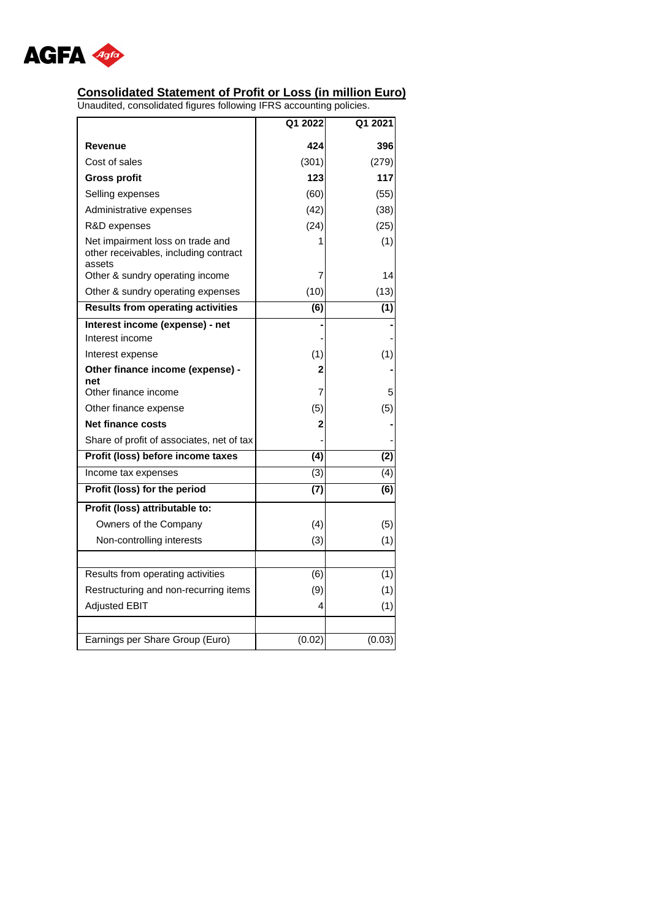

## **Consolidated Statement of Profit or Loss (in million Euro)**

|                                                                                     | Q1 2022          | Q1 2021   |
|-------------------------------------------------------------------------------------|------------------|-----------|
| Revenue                                                                             | 424              | 396       |
| Cost of sales                                                                       | (301)            | (279)     |
| <b>Gross profit</b>                                                                 | 123              | 117       |
| Selling expenses                                                                    | (60)             | (55)      |
| Administrative expenses                                                             | (42)             | (38)      |
| R&D expenses                                                                        | (24)             | (25)      |
| Net impairment loss on trade and<br>other receivables, including contract<br>assets | 1<br>7           | (1)<br>14 |
| Other & sundry operating income                                                     |                  |           |
| Other & sundry operating expenses                                                   | (10)             | (13)      |
| <b>Results from operating activities</b>                                            | $\overline{(6)}$ | (1)       |
| Interest income (expense) - net<br>Interest income                                  |                  |           |
| Interest expense                                                                    | (1)              | (1)       |
| Other finance income (expense) -                                                    | 2                |           |
| net                                                                                 |                  |           |
| Other finance income                                                                | 7                | 5         |
| Other finance expense                                                               | (5)              | (5)       |
| <b>Net finance costs</b>                                                            | 2                |           |
| Share of profit of associates, net of tax                                           |                  |           |
| Profit (loss) before income taxes                                                   | (4)              | (2)       |
| Income tax expenses                                                                 | (3)              | (4)       |
| Profit (loss) for the period                                                        | $\overline{(7)}$ | (6)       |
| Profit (loss) attributable to:                                                      |                  |           |
| Owners of the Company                                                               | (4)              | (5)       |
| Non-controlling interests                                                           | (3)              | (1)       |
|                                                                                     |                  |           |
| Results from operating activities                                                   | (6)              | (1)       |
| Restructuring and non-recurring items                                               | (9)              | (1)       |
| <b>Adjusted EBIT</b>                                                                | 4                | (1)       |
|                                                                                     |                  |           |
| Earnings per Share Group (Euro)                                                     | (0.02)           | (0.03)    |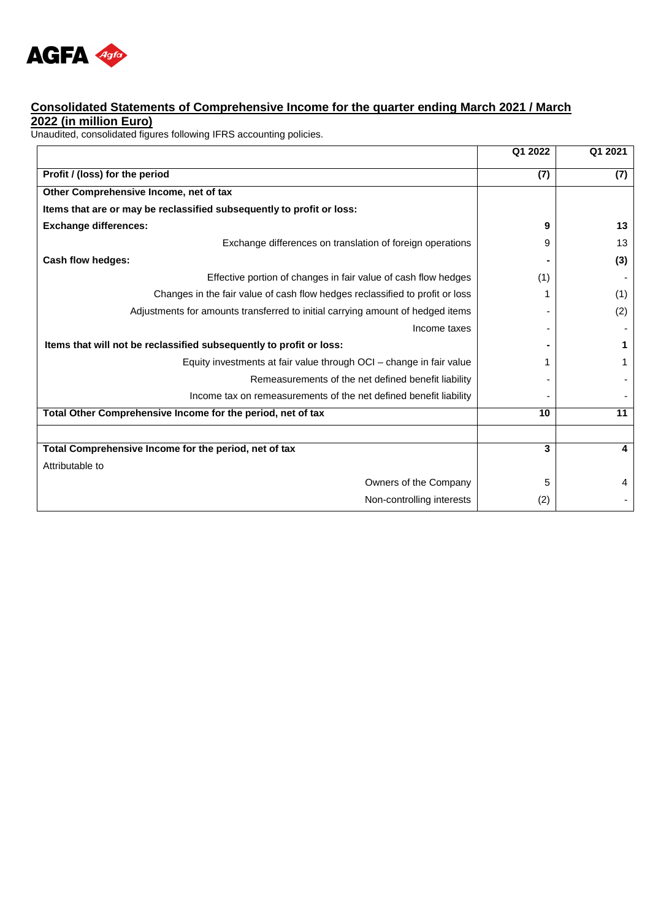

## **Consolidated Statements of Comprehensive Income for the quarter ending March 2021 / March 2022 (in million Euro)**

| Q1 2022 | Q1 2021 |
|---------|---------|
| (7)     | (7)     |
|         |         |
|         |         |
| 9       | 13      |
| 9       | 13      |
|         | (3)     |
| (1)     |         |
|         | (1)     |
|         | (2)     |
|         |         |
|         | 1       |
|         | 1       |
|         |         |
|         |         |
| 10      | 11      |
|         |         |
| 3       | 4       |
|         |         |
| 5       | 4       |
| (2)     |         |
|         |         |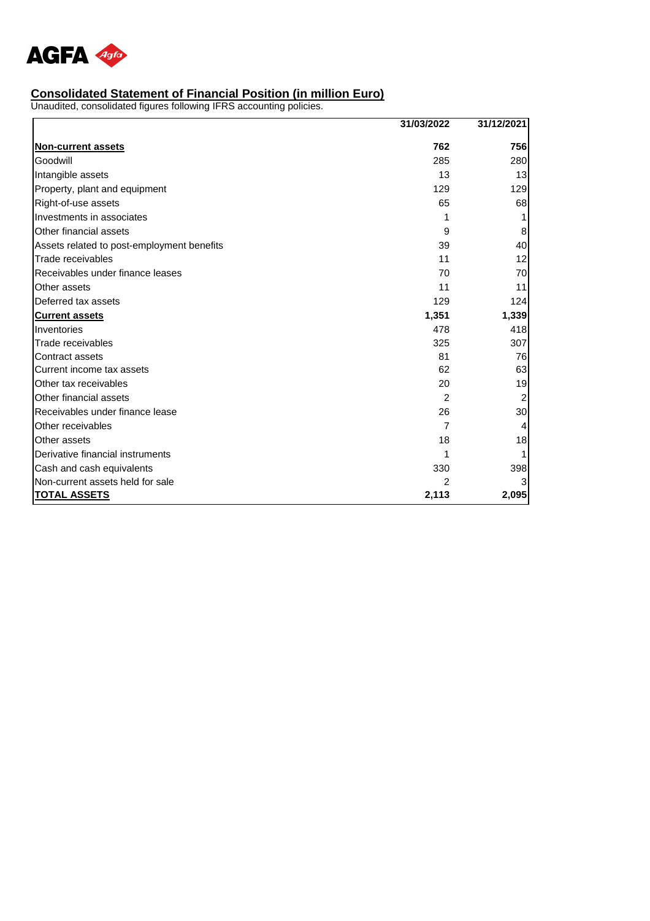

#### **Consolidated Statement of Financial Position (in million Euro)**

|                                            | 31/03/2022     | 31/12/2021 |
|--------------------------------------------|----------------|------------|
| <b>Non-current assets</b>                  | 762            | 756        |
| Goodwill                                   | 285            | 280        |
| Intangible assets                          | 13             | 13         |
| Property, plant and equipment              | 129            | 129        |
| Right-of-use assets                        | 65             | 68         |
| Investments in associates                  |                |            |
| Other financial assets                     | 9              | 8          |
| Assets related to post-employment benefits | 39             | 40         |
| Trade receivables                          | 11             | 12         |
| Receivables under finance leases           | 70             | 70         |
| Other assets                               | 11             | 11         |
| Deferred tax assets                        | 129            | 124        |
| <b>Current assets</b>                      | 1,351          | 1,339      |
| Inventories                                | 478            | 418        |
| Trade receivables                          | 325            | 307        |
| Contract assets                            | 81             | 76         |
| Current income tax assets                  | 62             | 63         |
| Other tax receivables                      | 20             | 19         |
| Other financial assets                     | $\overline{c}$ |            |
| Receivables under finance lease            | 26             | 30         |
| Other receivables                          | 7              |            |
| Other assets                               | 18             | 18         |
| Derivative financial instruments           |                |            |
| Cash and cash equivalents                  | 330            | 398        |
| Non-current assets held for sale           |                |            |
| <b>TOTAL ASSETS</b>                        | 2,113          | 2,095      |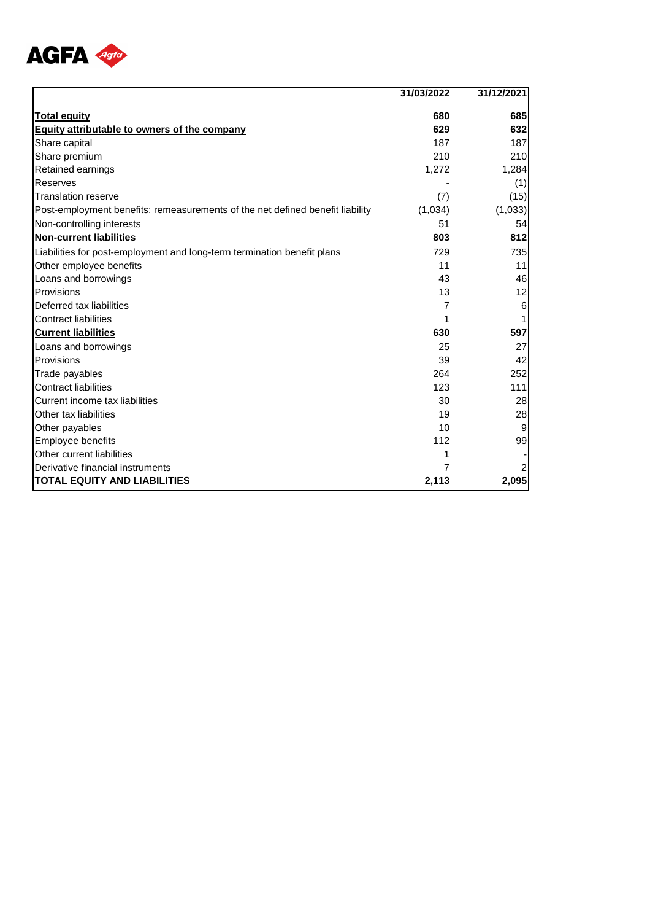

|                                                                               | 31/03/2022 | 31/12/2021 |
|-------------------------------------------------------------------------------|------------|------------|
| <b>Total equity</b>                                                           | 680        | 685        |
| <b>Equity attributable to owners of the company</b>                           | 629        | 632        |
| Share capital                                                                 | 187        | 187        |
| Share premium                                                                 | 210        | 210        |
| Retained earnings                                                             | 1,272      | 1,284      |
| Reserves                                                                      |            | (1)        |
| <b>Translation reserve</b>                                                    | (7)        | (15)       |
| Post-employment benefits: remeasurements of the net defined benefit liability | (1,034)    | (1,033)    |
| Non-controlling interests                                                     | 51         | 54         |
| <b>Non-current liabilities</b>                                                | 803        | 812        |
| Liabilities for post-employment and long-term termination benefit plans       | 729        | 735        |
| Other employee benefits                                                       | 11         | 11         |
| Loans and borrowings                                                          | 43         | 46         |
| Provisions                                                                    | 13         | 12         |
| Deferred tax liabilities                                                      | 7          | 6          |
| <b>Contract liabilities</b>                                                   |            |            |
| <b>Current liabilities</b>                                                    | 630        | 597        |
| Loans and borrowings                                                          | 25         | 27         |
| Provisions                                                                    | 39         | 42         |
| Trade payables                                                                | 264        | 252        |
| <b>Contract liabilities</b>                                                   | 123        | 111        |
| Current income tax liabilities                                                | 30         | 28         |
| Other tax liabilities                                                         | 19         | 28         |
| Other payables                                                                | 10         |            |
| Employee benefits                                                             | 112        | 99         |
| Other current liabilities                                                     |            |            |
| Derivative financial instruments                                              | 7          | 2          |
| <b>TOTAL EQUITY AND LIABILITIES</b>                                           | 2,113      | 2,095      |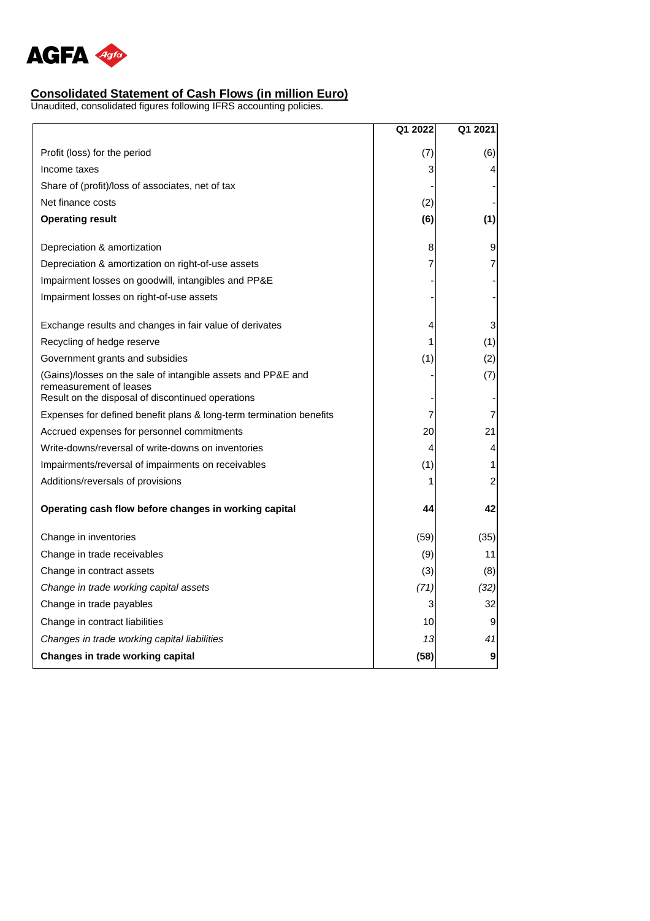

# **Consolidated Statement of Cash Flows (in million Euro)**

|                                                                                                                                              | Q1 2022 | Q1 2021          |
|----------------------------------------------------------------------------------------------------------------------------------------------|---------|------------------|
| Profit (loss) for the period                                                                                                                 | (7)     | (6)              |
| Income taxes                                                                                                                                 | 3       | 4                |
| Share of (profit)/loss of associates, net of tax                                                                                             |         |                  |
| Net finance costs                                                                                                                            | (2)     |                  |
| <b>Operating result</b>                                                                                                                      | (6)     | (1)              |
| Depreciation & amortization                                                                                                                  | 8       | 9                |
| Depreciation & amortization on right-of-use assets                                                                                           | 7       | 7                |
| Impairment losses on goodwill, intangibles and PP&E                                                                                          |         |                  |
| Impairment losses on right-of-use assets                                                                                                     |         |                  |
| Exchange results and changes in fair value of derivates                                                                                      | 4       | 3                |
| Recycling of hedge reserve                                                                                                                   | 1       | (1)              |
| Government grants and subsidies                                                                                                              | (1)     | (2)              |
| (Gains)/losses on the sale of intangible assets and PP&E and<br>remeasurement of leases<br>Result on the disposal of discontinued operations |         | (7)              |
| Expenses for defined benefit plans & long-term termination benefits                                                                          | 7       | 7                |
| Accrued expenses for personnel commitments                                                                                                   | 20      | 21               |
| Write-downs/reversal of write-downs on inventories                                                                                           | 4       | 4                |
| Impairments/reversal of impairments on receivables                                                                                           | (1)     | 1                |
| Additions/reversals of provisions                                                                                                            | 1       | $\overline{c}$   |
| Operating cash flow before changes in working capital                                                                                        | 44      | 42               |
| Change in inventories                                                                                                                        | (59)    | (35)             |
| Change in trade receivables                                                                                                                  | (9)     | 11               |
| Change in contract assets                                                                                                                    | (3)     | (8)              |
| Change in trade working capital assets                                                                                                       | (71)    | (32)             |
| Change in trade payables                                                                                                                     | 3       | 32               |
| Change in contract liabilities                                                                                                               | 10      | 9                |
| Changes in trade working capital liabilities                                                                                                 | 13      | 41               |
| Changes in trade working capital                                                                                                             | (58)    | $\boldsymbol{9}$ |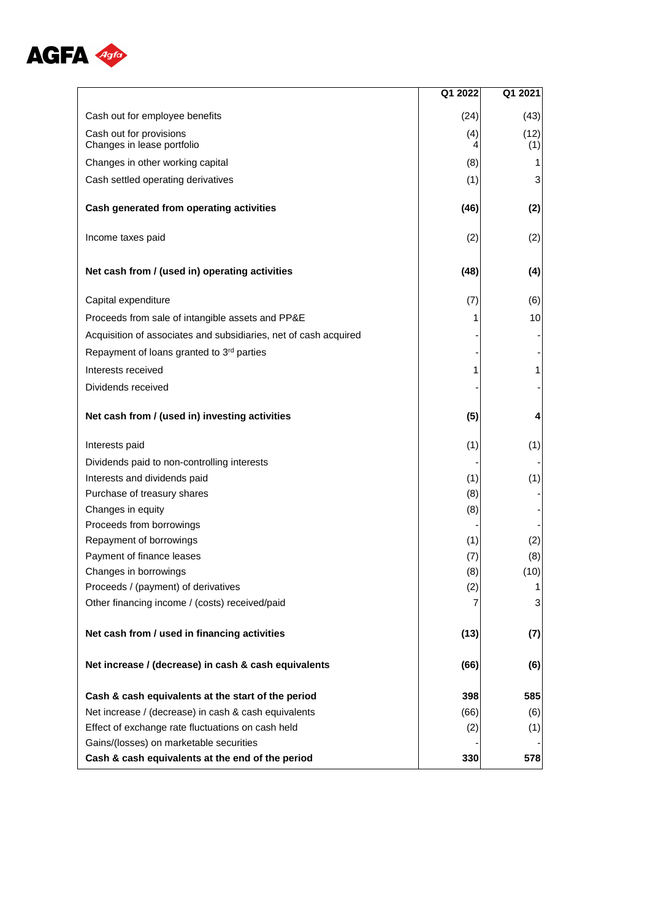

|                                                                  | Q1 2022  | Q1 2021     |
|------------------------------------------------------------------|----------|-------------|
| Cash out for employee benefits                                   | (24)     | (43)        |
| Cash out for provisions<br>Changes in lease portfolio            | (4)<br>4 | (12)<br>(1) |
| Changes in other working capital                                 | (8)      | 1           |
| Cash settled operating derivatives                               | (1)      | 3           |
|                                                                  |          |             |
| Cash generated from operating activities                         | (46)     | (2)         |
| Income taxes paid                                                | (2)      | (2)         |
| Net cash from / (used in) operating activities                   | (48)     | (4)         |
| Capital expenditure                                              | (7)      | (6)         |
| Proceeds from sale of intangible assets and PP&E                 |          | 10          |
| Acquisition of associates and subsidiaries, net of cash acquired |          |             |
| Repayment of loans granted to 3rd parties                        |          |             |
| Interests received                                               | 1        | 1           |
| Dividends received                                               |          |             |
| Net cash from / (used in) investing activities                   | (5)      | 4           |
| Interests paid                                                   | (1)      | (1)         |
| Dividends paid to non-controlling interests                      |          |             |
| Interests and dividends paid                                     | (1)      | (1)         |
| Purchase of treasury shares                                      | (8)      |             |
| Changes in equity                                                | (8)      |             |
| Proceeds from borrowings                                         |          |             |
| Repayment of borrowings                                          | (1)      | (2)         |
| Payment of finance leases                                        | (7)      | (8)         |
| Changes in borrowings                                            | (8)      | (10)        |
| Proceeds / (payment) of derivatives                              | (2)      | 1           |
| Other financing income / (costs) received/paid                   |          | 3           |
| Net cash from / used in financing activities                     | (13)     | (7)         |
| Net increase / (decrease) in cash & cash equivalents             | (66)     | (6)         |
| Cash & cash equivalents at the start of the period               | 398      | 585         |
| Net increase / (decrease) in cash & cash equivalents             | (66)     | (6)         |
| Effect of exchange rate fluctuations on cash held                | (2)      | (1)         |
| Gains/(losses) on marketable securities                          |          |             |
| Cash & cash equivalents at the end of the period                 | 330      | 578         |